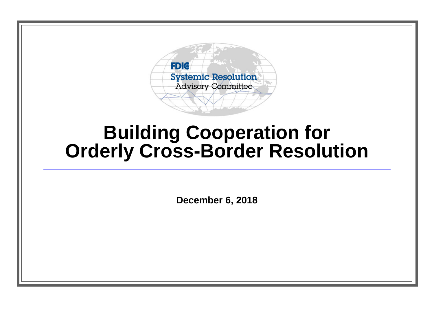

### **Building Cooperation for Orderly Cross-Border Resolution**

**December 6, 2018**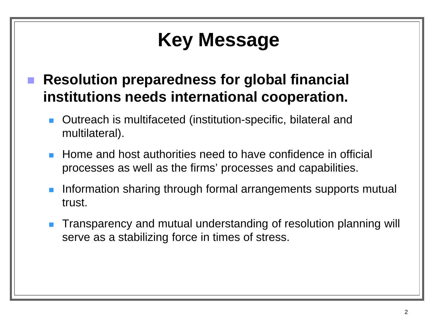# **Key Message**

- **Resolution preparedness for global financial institutions needs international cooperation.** 
	- Outreach is multifaceted (institution-specific, bilateral and multilateral).
	- Home and host authorities need to have confidence in official processes as well as the firms' processes and capabilities.
	- Information sharing through formal arrangements supports mutual trust.
	- **Transparency and mutual understanding of resolution planning will** serve as a stabilizing force in times of stress.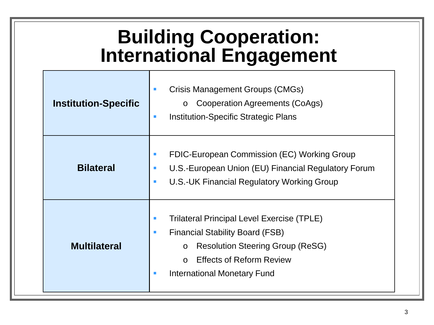## **Building Cooperation: International Engagement**

| <b>Institution-Specific</b> | Crisis Management Groups (CMGs)<br>○ Cooperation Agreements (CoAgs)<br><b>Institution-Specific Strategic Plans</b><br>$\blacksquare$                                                                                                            |
|-----------------------------|-------------------------------------------------------------------------------------------------------------------------------------------------------------------------------------------------------------------------------------------------|
| <b>Bilateral</b>            | FDIC-European Commission (EC) Working Group<br>U.S.-European Union (EU) Financial Regulatory Forum<br><b>U.S.-UK Financial Regulatory Working Group</b><br><b>The State</b>                                                                     |
| <b>Multilateral</b>         | <b>Trilateral Principal Level Exercise (TPLE)</b><br><b>Financial Stability Board (FSB)</b><br><b>CONTRACTOR</b><br><b>Resolution Steering Group (ReSG)</b><br>$\circ$<br><b>Effects of Reform Review</b><br><b>International Monetary Fund</b> |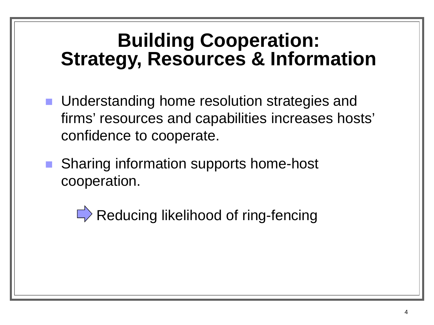## **Building Cooperation: Strategy, Resources & Information**

- **Understanding home resolution strategies and** firms' resources and capabilities increases hosts' confidence to cooperate.
- Sharing information supports home-host cooperation.

 $\Rightarrow$  Reducing likelihood of ring-fencing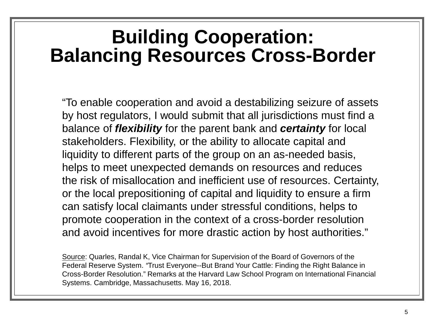#### **Building Cooperation: Balancing Resources Cross-Border**

"To enable cooperation and avoid a destabilizing seizure of assets by host regulators, I would submit that all jurisdictions must find a balance of *flexibility* for the parent bank and *certainty* for local stakeholders. Flexibility, or the ability to allocate capital and liquidity to different parts of the group on an as-needed basis, helps to meet unexpected demands on resources and reduces the risk of misallocation and inefficient use of resources. Certainty, or the local prepositioning of capital and liquidity to ensure a firm can satisfy local claimants under stressful conditions, helps to promote cooperation in the context of a cross-border resolution and avoid incentives for more drastic action by host authorities."

Source: Quarles, Randal K, Vice Chairman for Supervision of the Board of Governors of the Federal Reserve System. *"*Trust Everyone--But Brand Your Cattle: Finding the Right Balance in Cross-Border Resolution." Remarks at the Harvard Law School Program on International Financial Systems. Cambridge, Massachusetts. May 16, 2018.